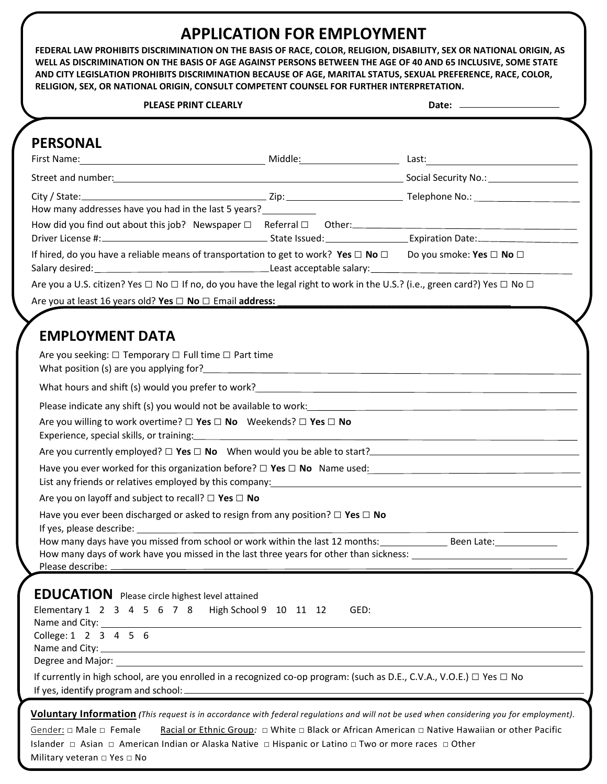## **APPLICATION FOR EMPLOYMENT**

**FEDERAL LAW PROHIBITS DISCRIMINATION ON THE BASIS OF RACE, COLOR, RELIGION, DISABILITY, SEX OR NATIONAL ORIGIN, AS WELL AS DISCRIMINATION ON THE BASIS OF AGE AGAINST PERSONS BETWEEN THE AGE OF 40 AND 65 INCLUSIVE, SOME STATE AND CITY LEGISLATION PROHIBITS DISCRIMINATION BECAUSE OF AGE, MARITAL STATUS, SEXUAL PREFERENCE, RACE, COLOR, RELIGION, SEX, OR NATIONAL ORIGIN, CONSULT COMPETENT COUNSEL FOR FURTHER INTERPRETATION.**

| <b>PLEASE PRINT CLEARLY</b>                                                                                                                                                                                                                                                                        |                                                                                                |            |  |
|----------------------------------------------------------------------------------------------------------------------------------------------------------------------------------------------------------------------------------------------------------------------------------------------------|------------------------------------------------------------------------------------------------|------------|--|
| <b>PERSONAL</b>                                                                                                                                                                                                                                                                                    |                                                                                                |            |  |
| Street and number: 1990 Contract and number: 1990 Contract and numbers and numbers are sensible and numbers and $\sim$ Social Security No.:                                                                                                                                                        |                                                                                                |            |  |
|                                                                                                                                                                                                                                                                                                    |                                                                                                |            |  |
| How many addresses have you had in the last 5 years?                                                                                                                                                                                                                                               |                                                                                                |            |  |
|                                                                                                                                                                                                                                                                                                    |                                                                                                |            |  |
| If hired, do you have a reliable means of transportation to get to work? Yes $\Box$ No $\Box$ Do you smoke: Yes $\Box$ No $\Box$                                                                                                                                                                   |                                                                                                |            |  |
| Are you a U.S. citizen? Yes □ No □ If no, do you have the legal right to work in the U.S.? (i.e., green card?) Yes □ No □                                                                                                                                                                          |                                                                                                |            |  |
| Are you at least 16 years old? Yes $\Box$ No $\Box$ Email address:                                                                                                                                                                                                                                 |                                                                                                |            |  |
| <b>EMPLOYMENT DATA</b><br>Are you seeking: $\Box$ Temporary $\Box$ Full time $\Box$ Part time                                                                                                                                                                                                      |                                                                                                |            |  |
|                                                                                                                                                                                                                                                                                                    |                                                                                                |            |  |
| Please indicate any shift (s) you would not be available to work: 2000 Content of the state of the state of the state of the state of the state of the state of the state of the state of the state of the state of the state                                                                      |                                                                                                |            |  |
| Are you willing to work overtime? $\square$ Yes $\square$ No Weekends? $\square$ Yes $\square$ No                                                                                                                                                                                                  |                                                                                                |            |  |
|                                                                                                                                                                                                                                                                                                    |                                                                                                |            |  |
| Have you ever worked for this organization before? $\Box$ Yes $\Box$ No Name used:<br>List any friends or relatives employed by this company: Latter and the control of the control of the control of                                                                                              |                                                                                                |            |  |
| Are you on layoff and subject to recall? $\Box$ Yes $\Box$ No                                                                                                                                                                                                                                      |                                                                                                |            |  |
| Have you ever been discharged or asked to resign from any position? $\Box$ Yes $\Box$ No                                                                                                                                                                                                           |                                                                                                |            |  |
| How many days have you missed from school or work within the last 12 months:                                                                                                                                                                                                                       |                                                                                                | Been Late: |  |
| <b>EDUCATION</b> Please circle highest level attained<br>Elementary 1 2 3 4 5 6 7 8 High School 9 10 11 12                                                                                                                                                                                         | GED:                                                                                           |            |  |
| College: 1 2 3 4 5 6                                                                                                                                                                                                                                                                               |                                                                                                |            |  |
| If currently in high school, are you enrolled in a recognized co-op program: (such as D.E., C.V.A., V.O.E.) □ Yes □ No                                                                                                                                                                             |                                                                                                |            |  |
| <b>Voluntary Information</b> (This request is in accordance with federal regulations and will not be used when considering you for employment).<br>Gender: $\square$ Male $\square$ Female<br>Islander □ Asian □ American Indian or Alaska Native □ Hispanic or Latino □ Two or more races □ Other | Racial or Ethnic Group: □ White □ Black or African American □ Native Hawaiian or other Pacific |            |  |

Military veteran □ Yes □ No